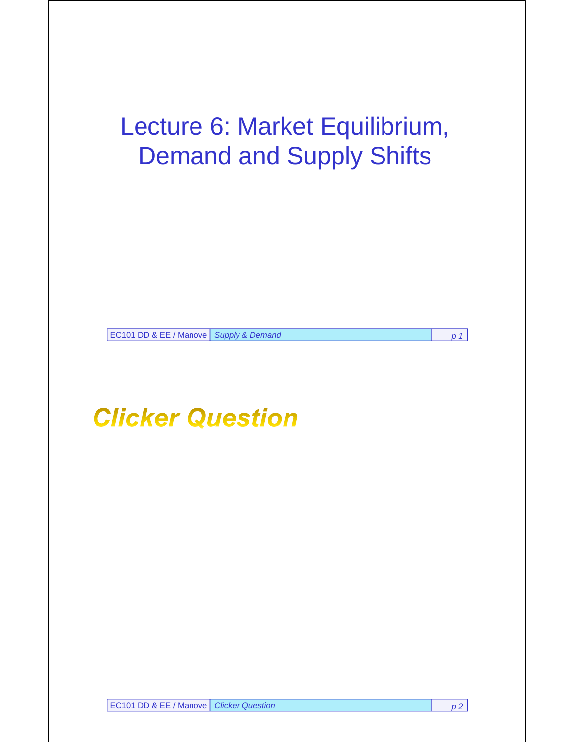# Lecture 6: Market Equilibrium, Demand and Supply Shifts

EC101 DD & EE / Manove *Supply & Demand p 1*

## **Clicker Question**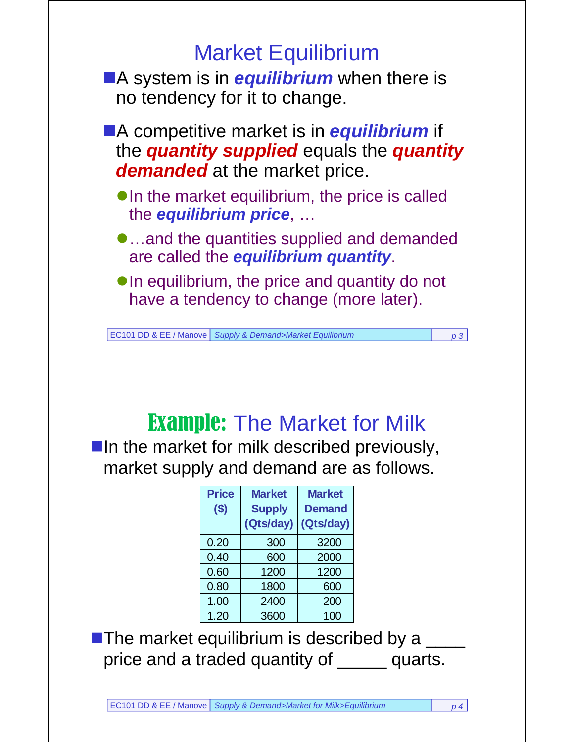

 $\blacksquare$  In the market for milk described previously, market supply and demand are as follows.

| <b>Price</b><br>( \$) | <b>Market</b><br><b>Supply</b><br>(Qts/day) | <b>Market</b><br><b>Demand</b><br>(Qts/day) |
|-----------------------|---------------------------------------------|---------------------------------------------|
| 0.20                  | 300                                         | 3200                                        |
| 0.40                  | 600                                         | 2000                                        |
| 0.60                  | 1200                                        | 1200                                        |
| 0.80                  | 1800                                        | 600                                         |
| 1.00                  | 2400                                        | 200                                         |
| 1.20                  | 3600                                        | 100                                         |

The market equilibrium is described by a  $\frac{1}{\sqrt{1-\frac{1}{n}}}$ price and a traded quantity of **wite 20** quarts.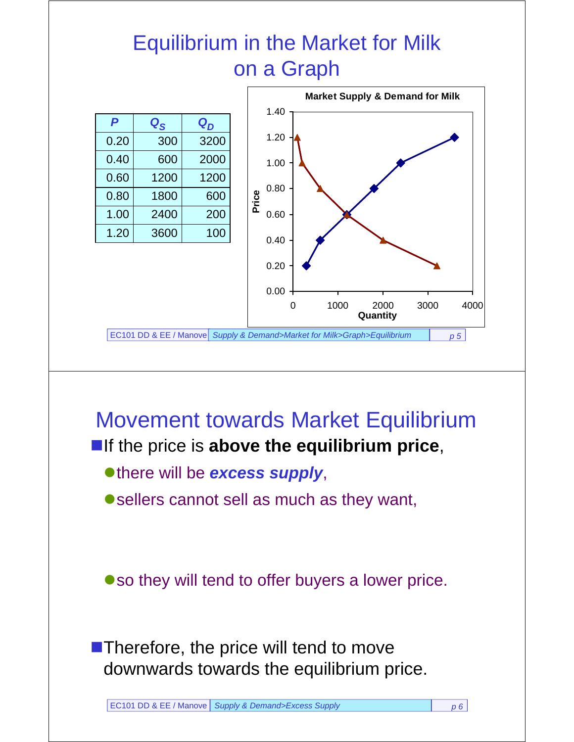### Equilibrium in the Market for Milk on a Graph



### Movement towards Market Equilibrium

#### **If the price is above the equilibrium price,**

there will be *excess supply*,

● sellers cannot sell as much as they want,

so they will tend to offer buyers a lower price.

**Therefore, the price will tend to move** downwards towards the equilibrium price.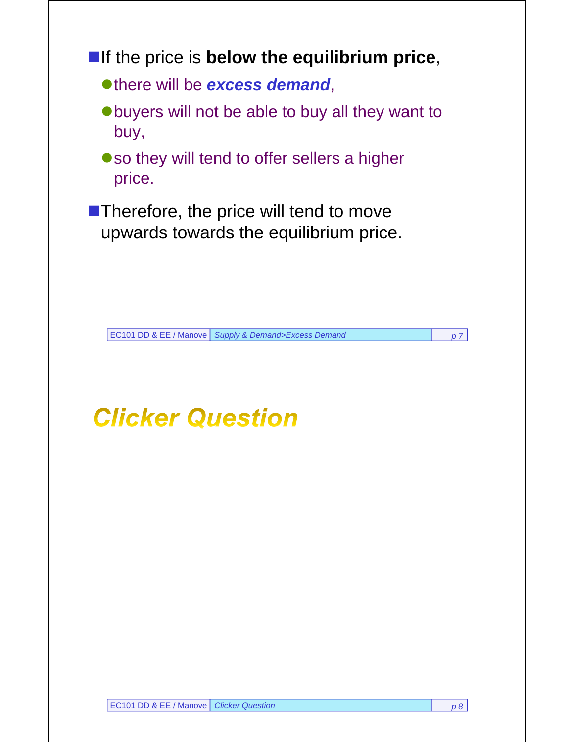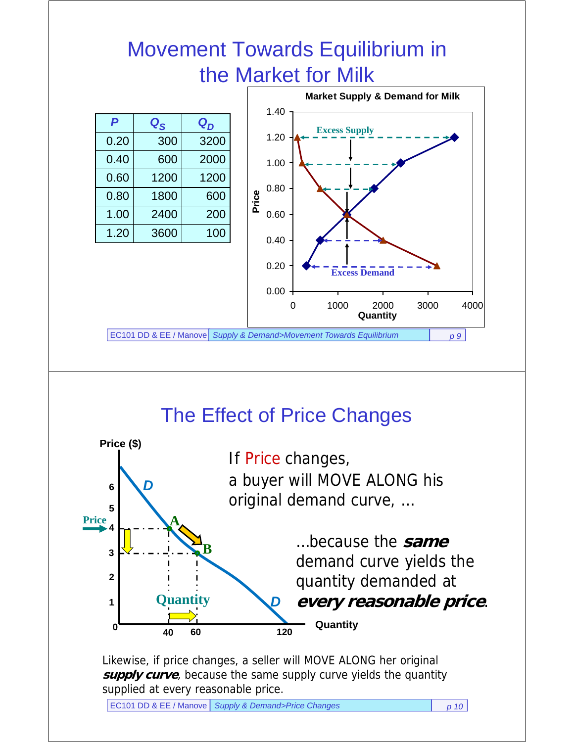### Movement Towards Equilibrium in the Market for Milk



#### The Effect of Price Changes



Likewise, if price changes, a seller will MOVE ALONG her original **supply curve**, because the same supply curve yields the quantity supplied at every reasonable price.

EC101 DD & EE / Manove *Supply & Demand>Price Changes p 10*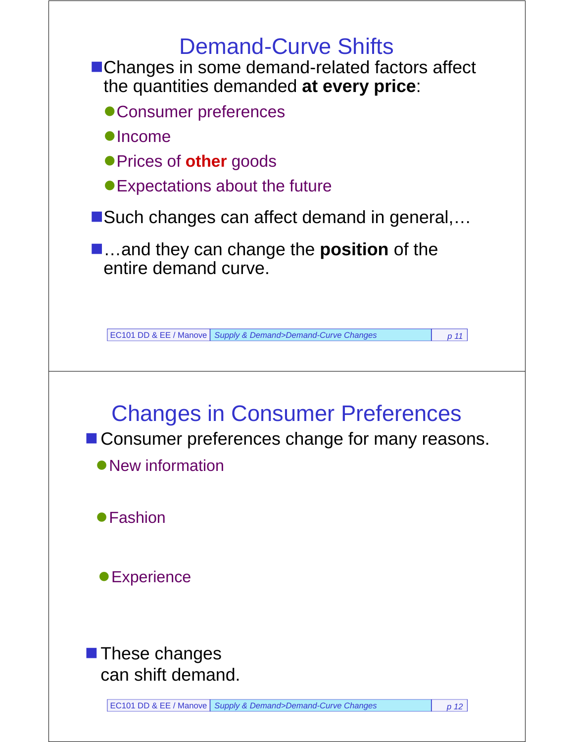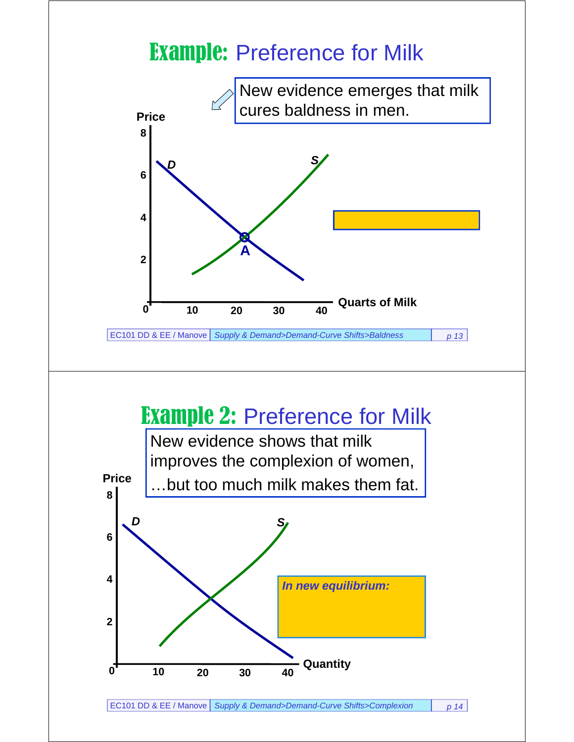### Example: Preference for Milk



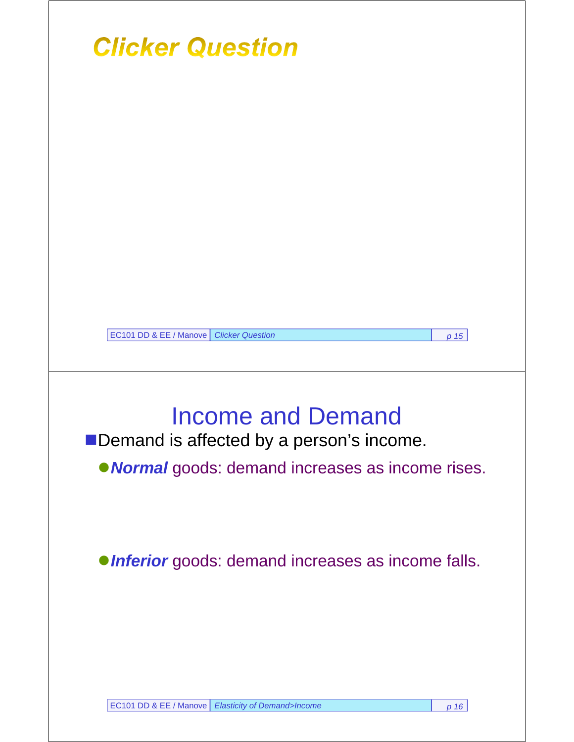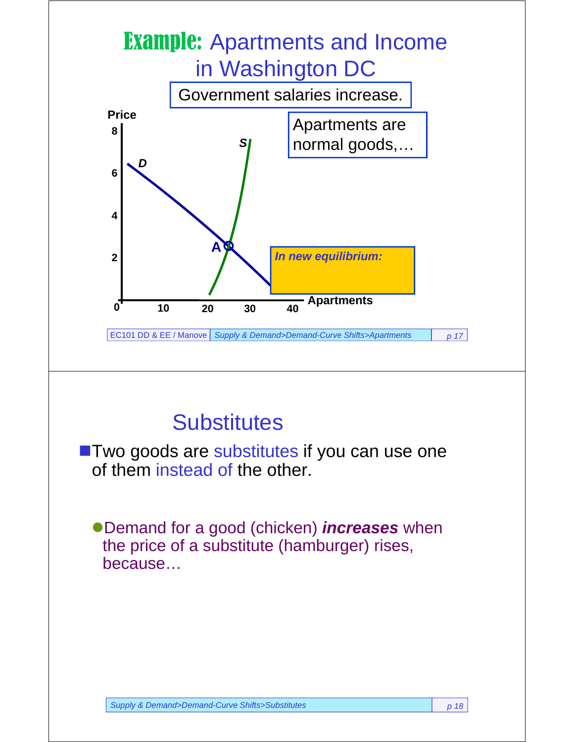

### **Substitutes**

**Two goods are substitutes if you can use one** of them instead of the other.

Demand for a good (chicken) *increases* when the price of a substitute (hamburger) rises, because…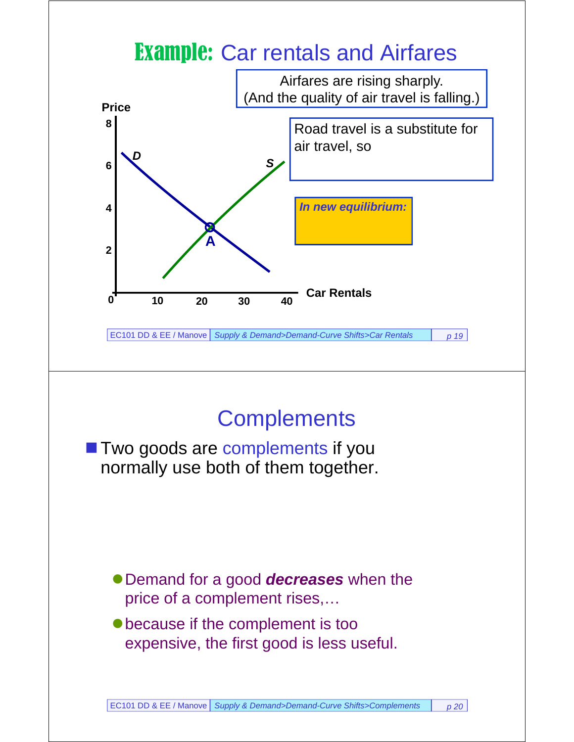### **Example: Car rentals and Airfares**



### **Complements**

**T** Two goods are complements if you normally use both of them together.

- Demand for a good *decreases* when the price of a complement rises,…
- because if the complement is too expensive, the first good is less useful.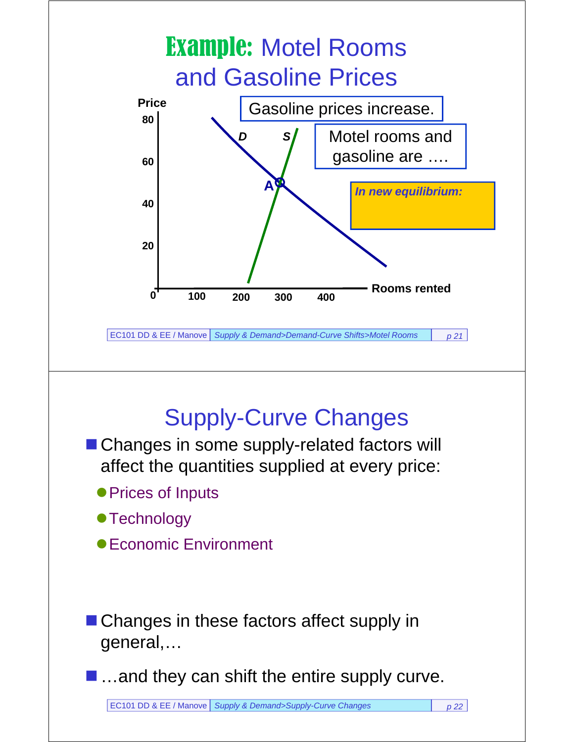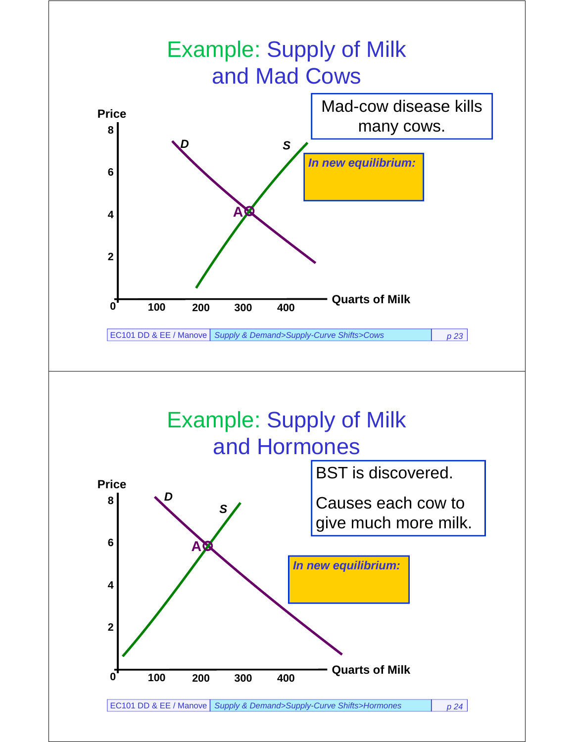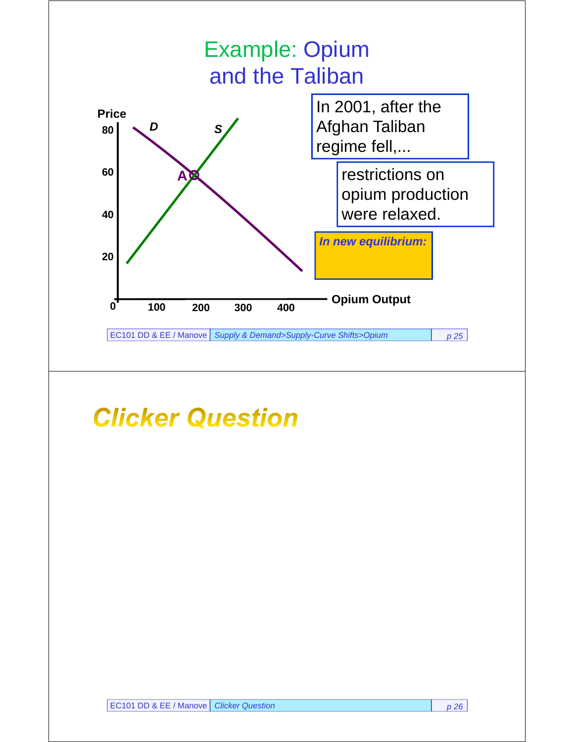

# **Clicker Question**